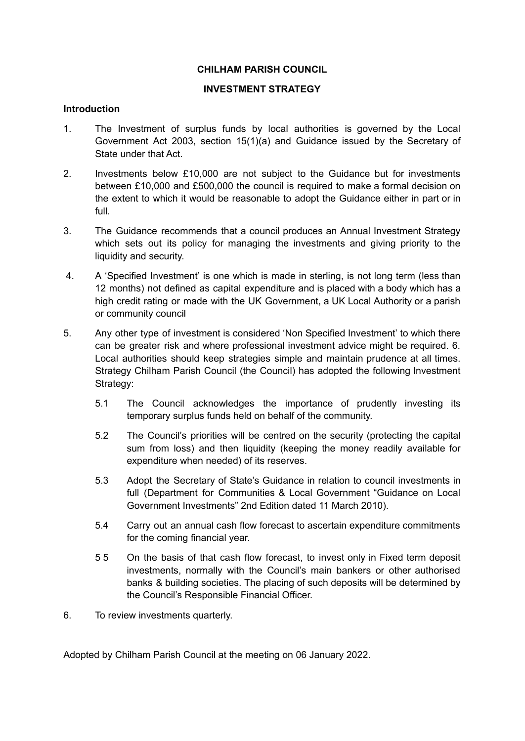## **CHILHAM PARISH COUNCIL**

## **INVESTMENT STRATEGY**

## **Introduction**

- 1. The Investment of surplus funds by local authorities is governed by the Local Government Act 2003, section 15(1)(a) and Guidance issued by the Secretary of State under that Act.
- 2. Investments below £10,000 are not subject to the Guidance but for investments between £10,000 and £500,000 the council is required to make a formal decision on the extent to which it would be reasonable to adopt the Guidance either in part or in full.
- 3. The Guidance recommends that a council produces an Annual Investment Strategy which sets out its policy for managing the investments and giving priority to the liquidity and security.
- 4. A 'Specified Investment' is one which is made in sterling, is not long term (less than 12 months) not defined as capital expenditure and is placed with a body which has a high credit rating or made with the UK Government, a UK Local Authority or a parish or community council
- 5. Any other type of investment is considered 'Non Specified Investment' to which there can be greater risk and where professional investment advice might be required. 6. Local authorities should keep strategies simple and maintain prudence at all times. Strategy Chilham Parish Council (the Council) has adopted the following Investment Strategy:
	- 5.1 The Council acknowledges the importance of prudently investing its temporary surplus funds held on behalf of the community.
	- 5.2 The Council's priorities will be centred on the security (protecting the capital sum from loss) and then liquidity (keeping the money readily available for expenditure when needed) of its reserves.
	- 5.3 Adopt the Secretary of State's Guidance in relation to council investments in full (Department for Communities & Local Government "Guidance on Local Government Investments" 2nd Edition dated 11 March 2010).
	- 5.4 Carry out an annual cash flow forecast to ascertain expenditure commitments for the coming financial year.
	- 5 5 On the basis of that cash flow forecast, to invest only in Fixed term deposit investments, normally with the Council's main bankers or other authorised banks & building societies. The placing of such deposits will be determined by the Council's Responsible Financial Officer.
- 6. To review investments quarterly.

Adopted by Chilham Parish Council at the meeting on 06 January 2022.